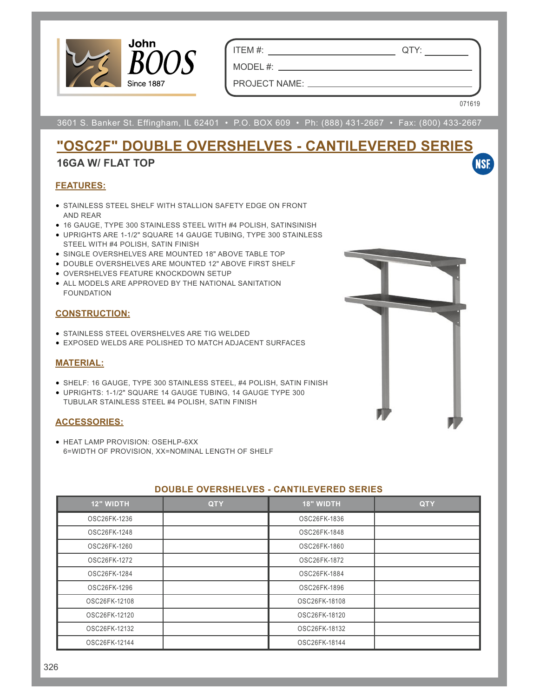

ITEM #: QTY:

MODEL #: PROJECT NAME:

071619

**NSF** 

3601 S. Banker St. Effingham, IL 62401 • P.O. BOX 609 • Ph: (888) 431-2667 • Fax: (800) 433-2667

## **"OSC2F" DOUBLE OVERSHELVES - CANTILEVERED SERIES**

## **16GA W/ FLAT TOP**

### **FEATURES:**

- STAINLESS STEEL SHELF WITH STALLION SAFETY EDGE ON FRONT AND REAR
- 16 GAUGE, TYPE 300 STAINLESS STEEL WITH #4 POLISH, SATINSINISH
- UPRIGHTS ARE 1-1/2" SQUARE 14 GAUGE TUBING, TYPE 300 STAINLESS STEEL WITH #4 POLISH, SATIN FINISH
- SINGLE OVERSHELVES ARE MOUNTED 18" ABOVE TABLE TOP
- DOUBLE OVERSHELVES ARE MOUNTED 12" ABOVE FIRST SHELF
- OVERSHELVES FEATURE KNOCKDOWN SETUP
- ALL MODELS ARE APPROVED BY THE NATIONAL SANITATION FOUNDATION

### **CONSTRUCTION:**

- STAINLESS STEEL OVERSHELVES ARE TIG WELDED
- EXPOSED WELDS ARE POLISHED TO MATCH ADJACENT SURFACES

## **MATERIAL:**

- SHELF: 16 GAUGE, TYPE 300 STAINLESS STEEL, #4 POLISH, SATIN FINISH
- UPRIGHTS: 1-1/2" SQUARE 14 GAUGE TUBING, 14 GAUGE TYPE 300 TUBULAR STAINLESS STEEL #4 POLISH, SATIN FINISH

#### **ACCESSORIES:**

• HEAT LAMP PROVISION: OSEHLP-6XX 6=WIDTH OF PROVISION, XX=NOMINAL LENGTH OF SHELF

|                  |            | ------           |            |
|------------------|------------|------------------|------------|
| <b>12" WIDTH</b> | <b>QTY</b> | <b>18" WIDTH</b> | <b>QTY</b> |
| OSC26FK-1236     |            | OSC26FK-1836     |            |
| OSC26FK-1248     |            | OSC26FK-1848     |            |
| OSC26FK-1260     |            | OSC26FK-1860     |            |
| OSC26FK-1272     |            | OSC26FK-1872     |            |
| OSC26FK-1284     |            | OSC26FK-1884     |            |
| OSC26FK-1296     |            | OSC26FK-1896     |            |
| OSC26FK-12108    |            | OSC26FK-18108    |            |
| OSC26FK-12120    |            | OSC26FK-18120    |            |
| OSC26FK-12132    |            | OSC26FK-18132    |            |
| OSC26FK-12144    |            | OSC26FK-18144    |            |

## **DOUBLE OVERSHELVES - CANTILEVERED SERIES**